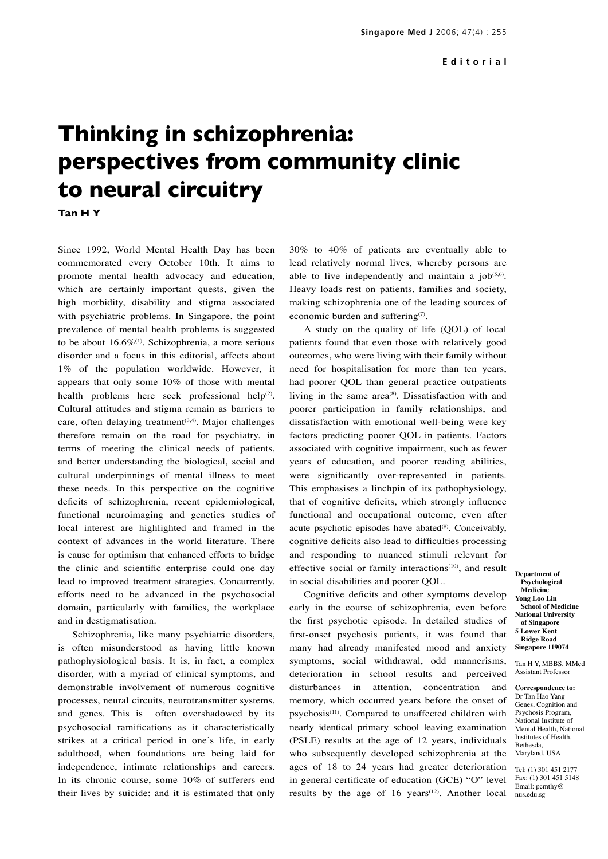## **Thinking in schizophrenia: perspectives from community clinic to neural circuitry**

**Tan H Y**

Since 1992, World Mental Health Day has been commemorated every October 10th. It aims to promote mental health advocacy and education, which are certainly important quests, given the high morbidity, disability and stigma associated with psychiatric problems. In Singapore, the point prevalence of mental health problems is suggested to be about  $16.6\%$ <sup>(1)</sup>. Schizophrenia, a more serious disorder and a focus in this editorial, affects about 1% of the population worldwide. However, it appears that only some 10% of those with mental health problems here seek professional help<sup>(2)</sup>. Cultural attitudes and stigma remain as barriers to care, often delaying treatment $(3,4)$ . Major challenges therefore remain on the road for psychiatry, in terms of meeting the clinical needs of patients, and better understanding the biological, social and cultural underpinnings of mental illness to meet these needs. In this perspective on the cognitive deficits of schizophrenia, recent epidemiological, functional neuroimaging and genetics studies of local interest are highlighted and framed in the context of advances in the world literature. There is cause for optimism that enhanced efforts to bridge the clinic and scientific enterprise could one day lead to improved treatment strategies. Concurrently, efforts need to be advanced in the psychosocial domain, particularly with families, the workplace and in destigmatisation.

Schizophrenia, like many psychiatric disorders, is often misunderstood as having little known pathophysiological basis. It is, in fact, a complex disorder, with a myriad of clinical symptoms, and demonstrable involvement of numerous cognitive processes, neural circuits, neurotransmitter systems, and genes. This is often overshadowed by its psychosocial ramifications as it characteristically strikes at a critical period in one's life, in early adulthood, when foundations are being laid for independence, intimate relationships and careers. In its chronic course, some 10% of sufferers end their lives by suicide; and it is estimated that only

30% to 40% of patients are eventually able to lead relatively normal lives, whereby persons are able to live independently and maintain a  $job^{(5,6)}$ . Heavy loads rest on patients, families and society, making schizophrenia one of the leading sources of economic burden and suffering<sup>(7)</sup>.

A study on the quality of life (QOL) of local patients found that even those with relatively good outcomes, who were living with their family without need for hospitalisation for more than ten years, had poorer QOL than general practice outpatients living in the same  $area^{(8)}$ . Dissatisfaction with and poorer participation in family relationships, and dissatisfaction with emotional well-being were key factors predicting poorer QOL in patients. Factors associated with cognitive impairment, such as fewer years of education, and poorer reading abilities, were significantly over-represented in patients. This emphasises a linchpin of its pathophysiology, that of cognitive deficits, which strongly influence functional and occupational outcome, even after acute psychotic episodes have abated<sup>(9)</sup>. Conceivably, cognitive deficits also lead to difficulties processing and responding to nuanced stimuli relevant for effective social or family interactions<sup>(10)</sup>, and result in social disabilities and poorer QOL.

results by the age of  $16$  years<sup> $(12)$ </sup>. Another local nus.edu.sg Cognitive deficits and other symptoms develop early in the course of schizophrenia, even before the first psychotic episode. In detailed studies of first-onset psychosis patients, it was found that many had already manifested mood and anxiety symptoms, social withdrawal, odd mannerisms, deterioration in school results and perceived disturbances in attention, concentration and memory, which occurred years before the onset of psychosis<sup>(11)</sup>. Compared to unaffected children with nearly identical primary school leaving examination (PSLE) results at the age of 12 years, individuals who subsequently developed schizophrenia at the ages of 18 to 24 years had greater deterioration in general certificate of education (GCE) "O" level

**Department of Psychological Medicine Yong Loo Lin School of Medicine National University of Singapore 5 Lower Kent Ridge Road Singapore 119074**

Tan H Y, MBBS, MMed Assistant Professor

**Correspondence to:** Dr Tan Hao Yang Genes, Cognition and Psychosis Program, National Institute of Mental Health, National Institutes of Health, Bethesda, Maryland, USA

Tel: (1) 301 451 2177 Fax: (1) 301 451 5148 Email: pcmthy@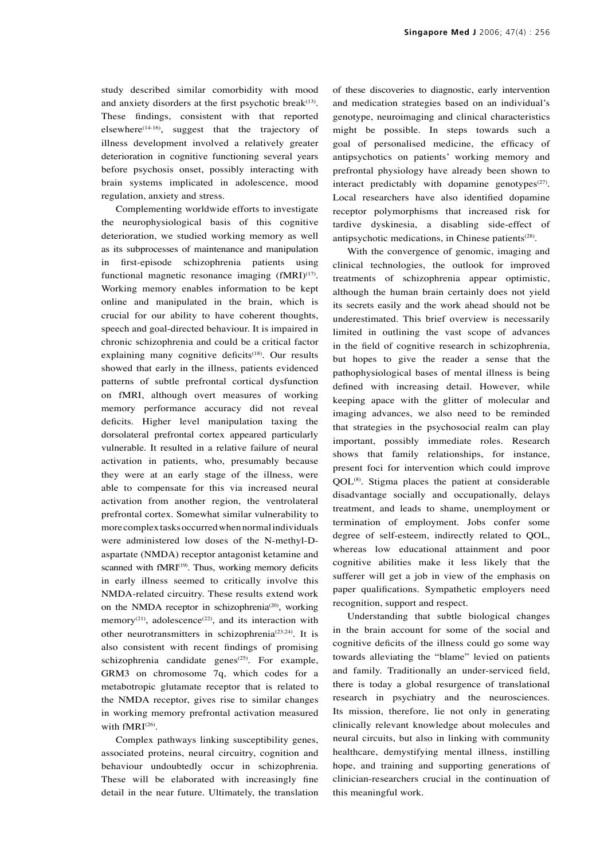study described similar comorbidity with mood and anxiety disorders at the first psychotic break $(13)$ . These findings, consistent with that reported elsewhere<sup>(14-16)</sup>, suggest that the trajectory of illness development involved a relatively greater deterioration in cognitive functioning several years before psychosis onset, possibly interacting with brain systems implicated in adolescence, mood regulation, anxiety and stress.

Complementing worldwide efforts to investigate the neurophysiological basis of this cognitive deterioration, we studied working memory as well as its subprocesses of maintenance and manipulation in first-episode schizophrenia patients using functional magnetic resonance imaging  $(fMRI)^{(17)}$ . Working memory enables information to be kept online and manipulated in the brain, which is crucial for our ability to have coherent thoughts, speech and goal-directed behaviour. It is impaired in chronic schizophrenia and could be a critical factor explaining many cognitive deficits<sup>(18)</sup>. Our results showed that early in the illness, patients evidenced patterns of subtle prefrontal cortical dysfunction on fMRI, although overt measures of working memory performance accuracy did not reveal deficits. Higher level manipulation taxing the dorsolateral prefrontal cortex appeared particularly vulnerable. It resulted in a relative failure of neural activation in patients, who, presumably because they were at an early stage of the illness, were able to compensate for this via increased neural activation from another region, the ventrolateral prefrontal cortex. Somewhat similar vulnerability to more complex tasks occurred when normal individuals were administered low doses of the N-methyl-Daspartate (NMDA) receptor antagonist ketamine and scanned with fMRI<sup>(19)</sup>. Thus, working memory deficits in early illness seemed to critically involve this NMDA-related circuitry. These results extend work on the NMDA receptor in schizophrenia<sup>(20)</sup>, working memory<sup>(21)</sup>, adolescence<sup>(22)</sup>, and its interaction with other neurotransmitters in schizophrenia<sup>(23,24)</sup>. It is also consistent with recent findings of promising schizophrenia candidate genes $(25)$ . For example, GRM3 on chromosome 7q, which codes for a metabotropic glutamate receptor that is related to the NMDA receptor, gives rise to similar changes in working memory prefrontal activation measured with fMRI<sup>(26)</sup>.

Complex pathways linking susceptibility genes, associated proteins, neural circuitry, cognition and behaviour undoubtedly occur in schizophrenia. These will be elaborated with increasingly fine detail in the near future. Ultimately, the translation of these discoveries to diagnostic, early intervention and medication strategies based on an individual's genotype, neuroimaging and clinical characteristics might be possible. In steps towards such a goal of personalised medicine, the efficacy of antipsychotics on patients' working memory and prefrontal physiology have already been shown to interact predictably with dopamine genotypes $(27)$ . Local researchers have also identified dopamine receptor polymorphisms that increased risk for tardive dyskinesia, a disabling side-effect of antipsychotic medications, in Chinese patients $(28)$ .

With the convergence of genomic, imaging and clinical technologies, the outlook for improved treatments of schizophrenia appear optimistic, although the human brain certainly does not yield its secrets easily and the work ahead should not be underestimated. This brief overview is necessarily limited in outlining the vast scope of advances in the field of cognitive research in schizophrenia, but hopes to give the reader a sense that the pathophysiological bases of mental illness is being defined with increasing detail. However, while keeping apace with the glitter of molecular and imaging advances, we also need to be reminded that strategies in the psychosocial realm can play important, possibly immediate roles. Research shows that family relationships, for instance, present foci for intervention which could improve QOL(8). Stigma places the patient at considerable disadvantage socially and occupationally, delays treatment, and leads to shame, unemployment or termination of employment. Jobs confer some degree of self-esteem, indirectly related to QOL, whereas low educational attainment and poor cognitive abilities make it less likely that the sufferer will get a job in view of the emphasis on paper qualifications. Sympathetic employers need recognition, support and respect.

Understanding that subtle biological changes in the brain account for some of the social and cognitive deficits of the illness could go some way towards alleviating the "blame" levied on patients and family. Traditionally an under-serviced field, there is today a global resurgence of translational research in psychiatry and the neurosciences. Its mission, therefore, lie not only in generating clinically relevant knowledge about molecules and neural circuits, but also in linking with community healthcare, demystifying mental illness, instilling hope, and training and supporting generations of clinician-researchers crucial in the continuation of this meaningful work.